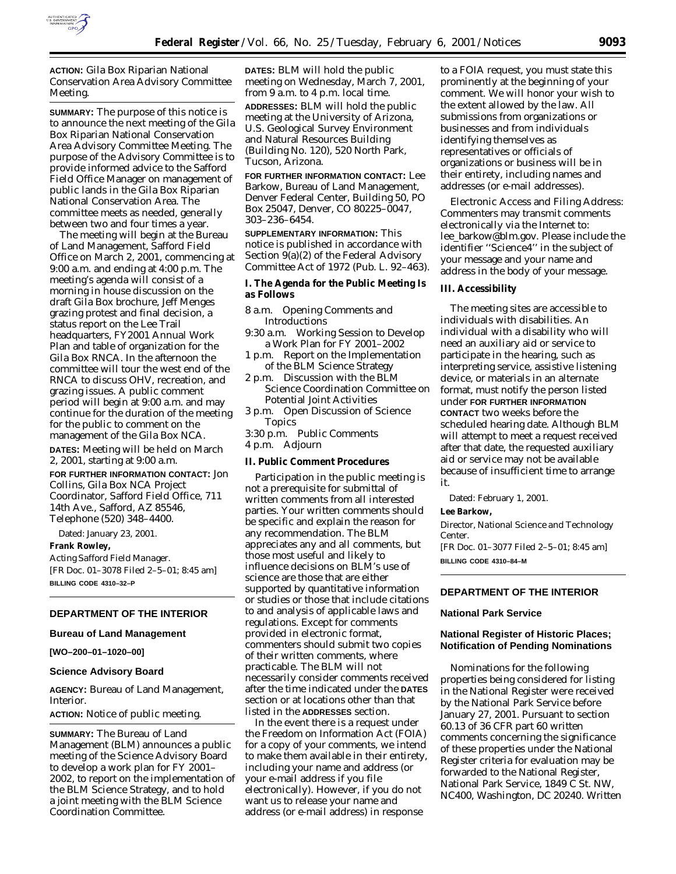

**ACTION:** Gila Box Riparian National Conservation Area Advisory Committee Meeting.

**SUMMARY:** The purpose of this notice is to announce the next meeting of the Gila Box Riparian National Conservation Area Advisory Committee Meeting. The purpose of the Advisory Committee is to provide informed advice to the Safford Field Office Manager on management of public lands in the Gila Box Riparian National Conservation Area. The committee meets as needed, generally between two and four times a year.

The meeting will begin at the Bureau of Land Management, Safford Field Office on March 2, 2001, commencing at 9:00 a.m. and ending at 4:00 p.m. The meeting's agenda will consist of a morning in house discussion on the draft Gila Box brochure, Jeff Menges grazing protest and final decision, a status report on the Lee Trail headquarters, FY2001 Annual Work Plan and table of organization for the Gila Box RNCA. In the afternoon the committee will tour the west end of the RNCA to discuss OHV, recreation, and grazing issues. A public comment period will begin at 9:00 a.m. and may continue for the duration of the meeting for the public to comment on the management of the Gila Box NCA.

**DATES:** Meeting will be held on March 2, 2001, starting at 9:00 a.m.

#### **FOR FURTHER INFORMATION CONTACT:** Jon

Collins, Gila Box NCA Project Coordinator, Safford Field Office, 711 14th Ave., Safford, AZ 85546, Telephone (520) 348–4400.

Dated: January 23, 2001. **Frank Rowley,** *Acting Safford Field Manager.*

[FR Doc. 01–3078 Filed 2–5–01; 8:45 am] **BILLING CODE 4310–32–P**

#### **DEPARTMENT OF THE INTERIOR**

#### **Bureau of Land Management**

**[WO–200–01–1020–00]**

#### **Science Advisory Board**

**AGENCY:** Bureau of Land Management, Interior.

**ACTION:** Notice of public meeting.

**SUMMARY:** The Bureau of Land Management (BLM) announces a public meeting of the Science Advisory Board to develop a work plan for FY 2001– 2002, to report on the implementation of the BLM Science Strategy, and to hold a joint meeting with the BLM Science Coordination Committee.

**DATES:** BLM will hold the public meeting on Wednesday, March 7, 2001, from 9 a.m. to 4 p.m. local time.

**ADDRESSES:** BLM will hold the public meeting at the University of Arizona, U.S. Geological Survey Environment and Natural Resources Building (Building No. 120), 520 North Park, Tucson, Arizona.

**FOR FURTHER INFORMATION CONTACT:** Lee Barkow, Bureau of Land Management, Denver Federal Center, Building 50, PO Box 25047, Denver, CO 80225–0047, 303–236–6454.

**SUPPLEMENTARY INFORMATION:** This notice is published in accordance with Section 9(a)(2) of the Federal Advisory Committee Act of 1972 (Pub. L. 92–463).

#### **I. The Agenda for the Public Meeting Is as Follows**

- 8 a.m. Opening Comments and Introductions
- 9:30 a.m. Working Session to Develop a Work Plan for FY 2001–2002
- 1 p.m. Report on the Implementation of the BLM Science Strategy
- 2 p.m. Discussion with the BLM Science Coordination Committee on Potential Joint Activities
- 3 p.m. Open Discussion of Science Topics
- 3:30 p.m. Public Comments
- 4 p.m. Adjourn

#### **II. Public Comment Procedures**

Participation in the public meeting is not a prerequisite for submittal of written comments from all interested parties. Your written comments should be specific and explain the reason for any recommendation. The BLM appreciates any and all comments, but those most useful and likely to influence decisions on BLM's use of science are those that are either supported by quantitative information or studies or those that include citations to and analysis of applicable laws and regulations. Except for comments provided in electronic format, commenters should submit two copies of their written comments, where practicable. The BLM will not necessarily consider comments received after the time indicated under the **DATES** section or at locations other than that listed in the **ADDRESSES** section.

In the event there is a request under the Freedom on Information Act (FOIA) for a copy of your comments, we intend to make them available in their entirety, including your name and address (or your e-mail address if you file electronically). However, if you do not want us to release your name and address (or e-mail address) in response

to a FOIA request, you must state this prominently at the beginning of your comment. We will honor your wish to the extent allowed by the law. All submissions from organizations or businesses and from individuals identifying themselves as representatives or officials of organizations or business will be in their entirety, including names and addresses (or e-mail addresses).

Electronic Access and Filing Address: Commenters may transmit comments electronically via the Internet to: lee\_barkow@blm.gov. Please include the identifier ''Science4'' in the subject of your message and your name and address in the body of your message.

#### **III. Accessibility**

The meeting sites are accessible to individuals with disabilities. An individual with a disability who will need an auxiliary aid or service to participate in the hearing, such as interpreting service, assistive listening device, or materials in an alternate format, must notify the person listed under **FOR FURTHER INFORMATION CONTACT** two weeks before the scheduled hearing date. Although BLM will attempt to meet a request received after that date, the requested auxiliary aid or service may not be available because of insufficient time to arrange it.

Dated: February 1, 2001.

#### **Lee Barkow,**

*Director, National Science and Technology Center.* [FR Doc. 01–3077 Filed 2–5–01; 8:45 am]

**BILLING CODE 4310–84–M**

#### **DEPARTMENT OF THE INTERIOR**

#### **National Park Service**

#### **National Register of Historic Places; Notification of Pending Nominations**

Nominations for the following properties being considered for listing in the National Register were received by the National Park Service before January 27, 2001. Pursuant to section 60.13 of 36 CFR part 60 written comments concerning the significance of these properties under the National Register criteria for evaluation may be forwarded to the National Register, National Park Service, 1849 C St. NW, NC400, Washington, DC 20240. Written